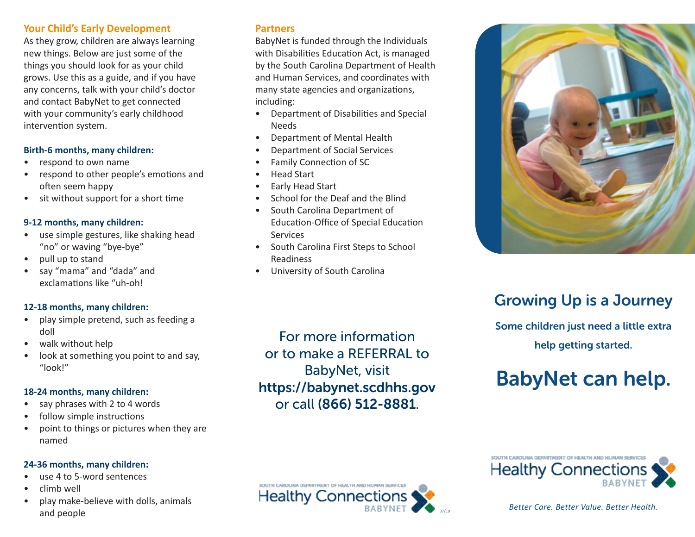### **Your Child's Early Development**

As they grow, children are always learning new things. Below are just some of the things you should look for as your child grows. Use this as a guide, and if you have any concerns, talk with your child's doctor and contact BabyNet to get connected with your community's early childhood intervention system.

### **Birth-6 months, many children:**

- respond to own name
- respond to other people's emotions and often seem happy
- sit without support for a short time

### **9-12 months, many children:**

- use simple gestures, like shaking head "no" or waving "bye-bye"
- pull up to stand
- say "mama" and "dada" and exclamations like "uh-oh!

### **12-18 months, many children:**

- play simple pretend, such as feeding a doll
- walk without help
- look at something you point to and say, "look!"

### **18-24 months, many children:**

- say phrases with 2 to 4 words
- follow simple instructions
- point to things or pictures when they are named

### **24-36 months, many children:**

- use 4 to 5-word sentences
- climb well
- play make-believe with dolls, animals and people

### **Partners**

BabyNet is funded through the Individuals with Disabilities Education Act, is managed by the South Carolina Department of Health and Human Services, and coordinates with many state agencies and organizations, including:

- Department of Disabilities and Special Needs
- Department of Mental Health
- Department of Social Services
- Family Connection of SC
- Head Start
- Early Head Start
- School for the Deaf and the Blind
- South Carolina Department of Education-Office of Special Education **Services**
- South Carolina First Steps to School Readiness
- University of South Carolina

For more information or to make a REFERRAL to BabyNet, visit https://babynet.scdhhs.gov or call (866) 512-8881.

**Healthy Connections** 

07/19



# Growing Up is a Journey

Some children just need a little extra help getting started.

# BabyNet can help.